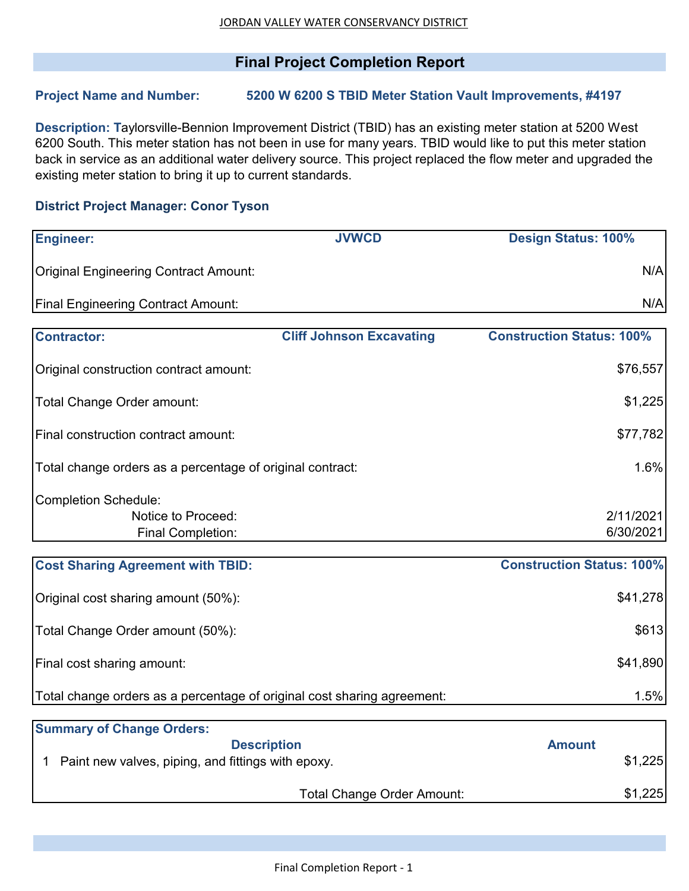## **Final Project Completion Report**

## **Project Name and Number: 5200 W 6200 S TBID Meter Station Vault Improvements, #4197**

**Description: T**aylorsville-Bennion Improvement District (TBID) has an existing meter station at 5200 West 6200 South. This meter station has not been in use for many years. TBID would like to put this meter station back in service as an additional water delivery source. This project replaced the flow meter and upgraded the existing meter station to bring it up to current standards.

## **District Project Manager: Conor Tyson**

| <b>Engineer:</b>                                                              | <b>JVWCD</b>                      | <b>Design Status: 100%</b>       |                        |
|-------------------------------------------------------------------------------|-----------------------------------|----------------------------------|------------------------|
| <b>Original Engineering Contract Amount:</b>                                  |                                   |                                  | N/A                    |
| <b>Final Engineering Contract Amount:</b>                                     |                                   |                                  | N/A                    |
| <b>Contractor:</b>                                                            | <b>Cliff Johnson Excavating</b>   | <b>Construction Status: 100%</b> |                        |
| Original construction contract amount:                                        |                                   |                                  | \$76,557               |
| Total Change Order amount:                                                    |                                   |                                  | \$1,225                |
| Final construction contract amount:                                           |                                   |                                  | \$77,782               |
| Total change orders as a percentage of original contract:                     |                                   |                                  | 1.6%                   |
| <b>Completion Schedule:</b><br>Notice to Proceed:<br><b>Final Completion:</b> |                                   |                                  | 2/11/2021<br>6/30/2021 |
| <b>Cost Sharing Agreement with TBID:</b>                                      |                                   | <b>Construction Status: 100%</b> |                        |
| Original cost sharing amount (50%):                                           |                                   |                                  | \$41,278               |
| Total Change Order amount (50%):                                              |                                   |                                  | \$613                  |
| Final cost sharing amount:                                                    |                                   |                                  | \$41,890               |
| Total change orders as a percentage of original cost sharing agreement:       |                                   |                                  | 1.5%                   |
| <b>Summary of Change Orders:</b>                                              |                                   |                                  |                        |
| Paint new valves, piping, and fittings with epoxy.                            | <b>Description</b>                | <b>Amount</b>                    | \$1,225                |
|                                                                               | <b>Total Change Order Amount:</b> |                                  | \$1,225                |